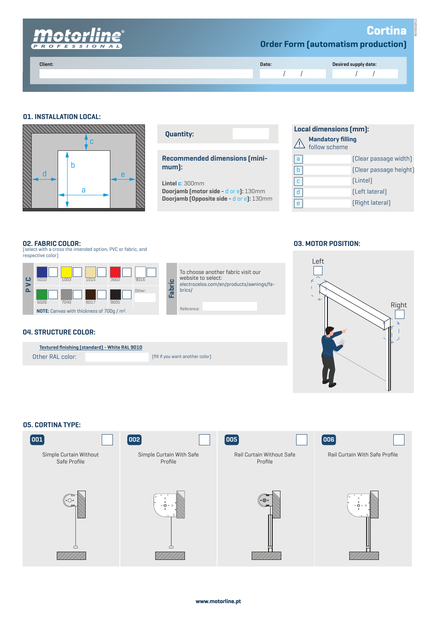

## **01. INSTALLATION LOCAL:**



| <b>Quantity:</b>                              |  |  |  |  |  |
|-----------------------------------------------|--|--|--|--|--|
| <b>Recommended dimensions (mini-</b><br>mum): |  |  |  |  |  |

**Lintel c**: 300mm

Reference:

brics/

website to select:

**Doorjamb (motor side -** d or e**):** 130mm **Doorjamb (Opposite side -** d or e**):** 130mm

To choose another fabric visit our

electrocelos.com/en/products/awnings/fa-

| <b>Local dimensions (mm):</b> |                                             |                        |  |  |
|-------------------------------|---------------------------------------------|------------------------|--|--|
|                               | <b>A</b> Mandatory filling<br>tollow scheme |                        |  |  |
| l a                           |                                             | [Clear passage width]  |  |  |
|                               |                                             | [Clear passage height] |  |  |
|                               |                                             | [Lintel]               |  |  |

(Left lateral)

# (Right lateral)

#### **02. FABRIC COLOR:**

(select with a cross the intended option, PVC or fabric, and respective color)



#### **04. STRUCTURE COLOR:**

| <b>Textured finishing (standard) - White RAL 9010</b> |  |                                  |
|-------------------------------------------------------|--|----------------------------------|
| Other RAL color:                                      |  | [fill if you want another color] |
|                                                       |  |                                  |

#### **03. MOTOR POSITION:**

 $\boxed{d}$ e



### **05. CORTINA TYPE:**

| 001                                    | $\vert$ 002 $\vert$                 | $\sqrt{005}$                         | $\boxed{006}$                  |
|----------------------------------------|-------------------------------------|--------------------------------------|--------------------------------|
| Simple Curtain Without<br>Safe Profile | Simple Curtain With Safe<br>Profile | Rail Curtain Without Safe<br>Profile | Rail Curtain With Safe Profile |
|                                        | $\circ$ $\circ$ $\circ$             |                                      | $\circ$ O $\circ$              |
|                                        |                                     |                                      |                                |

**www.motorline.pt**